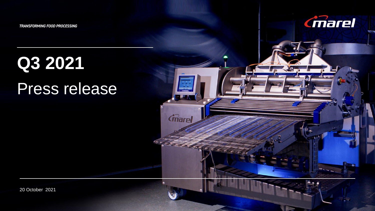TRANSFORMING FOOD PROCESSING



# **Q3 2021** Press release

**Cmarel** 

20 October 2021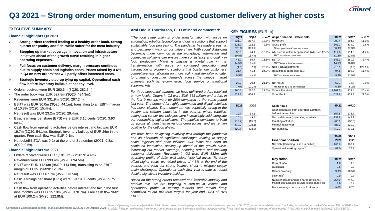

### **Q3 2021 – Strong order momentum, ensuring good customer delivery at higher costs**

#### **EXECUTIVE SUMMARY**

#### **Financial highlights Q3 2021**

- **Strong orders received leading to a healthy order book. Strong quarter for poultry and fish, while softer for the meat industry.**
- **Stepping up market coverage, innovation and infrastructure initiatives ahead of the growth curve resulting in higher operating expenses.**
- **Full focus on customer delivery, margin pressure continues due to supply chain and logistics costs. Prices raised by 4-6% in Q3 on new orders that will partly offset increased costs.**
- **Strategic inventory step-up tying up capital. Operational cash flow before inventory buildup at healthy level.**
- Orders received were EUR 360.6m (3Q20: 282.5m).
- The order book was EUR 527.8m (3Q20: 434.3m).
- Revenues were EUR 331.9m (3Q20: 287.2m).
- EBIT<sup>1</sup> was EUR 36.0m (3Q20: 44.1m), translating to an EBIT<sup>1</sup> margin of 10.8% (3Q20: 15.4%).
- Net result was EUR 23.2m (3Q20: 29.4m).
- Basic earnings per share (EPS) were EUR 3.10 cents (3Q20: 3.93 cents).
- Cash flow from operating activities before interest and tax was EUR 19.7m (3Q20: 54.1m). Strategic inventory buildup of EUR 26m in the quarter. Free cash flow was EUR 0.1m.
- Net debt/EBITDA was 0.9x at the end of September (2Q21: 0.8x, 3Q20: 0.5x).

#### **Financial highlights 9M 2021**

- Orders received were EUR 1,101.3m (9M20: 914.4m).
- Revenues were EUR 993.4m (9M20: 894.5m).
- $EBIT<sup>1</sup>$  was EUR 112.6m (9M20: 114.5m), translating to an EBIT<sup>1</sup> margin of 11.3% (9M20: 12.8%).
- Net result was EUR 67.7m (9M20: 73.5m).
- Basic earnings per share (EPS) were EUR 9.05 cents (9M20: 9.75 cents).
- Cash flow from operating activities before interest and tax in the first nine months was EUR 157.8m (9M20: 178.7m). Free cash flow 9M21 at EUR 100.2m (9M20: 122.8M).

#### **Arni Oddur Thordarson, CEO of Marel commented:**

*"The food value chain is under transformation with focus on automation, robotics technology and digital solutions that support sustainable food processing. The pandemic has made a seismic and permanent mark on our value chain. With social distancing becoming more common in the workplace, automation and connected solutions can ensure more consistency and quality in food production. Marel is playing a pivotal role in this transformation with focus on continued innovation and introduction of pioneering solutions that bolster our customers' competitiveness, allowing for more agility and flexibility to cater to changing consumer demands across the various market channels such as e-commerce, food service or traditional supermarkets.*

*For three sequential quarters, we have delivered orders received at new levels. Orders in Q3 were EUR 361 million and orders in the first 9 months were up 20% compared to the same period last year. The demand for highly automated and digital solutions has never clearer. The momentum was especially strong in the poultry and salmon industries in the quarter, where robotics, cutting and sensor technologies were increasingly sold alongside our overarching digital solutions. The pipeline continues to build up across all industries in various geographies, and we remain positive for the outlook ahead.*

*We have been navigating relatively well through the pandemic and its aftermath of significant challenges relating to supply chain, logistics and price inflation. Our focus has been on continued innovation, scaling up ahead of the growth curve, increasing our market coverage, securing orders and ensuring customer deliveries. Revenues in Q3 were EUR 332m with operating profits of 11%, well below historical levels. To partly offset higher costs, we raised prices of 4-6% at the end of the quarter, and used our strong balance sheet to mitigate supply chain challenges. Operational cash flow year-to-date is robust despite significant inventory buildup.*

*Based on the strong orders received and favorable industry and product mix, we are targeting a step-up in volume and operational profits in coming quarters and remain firmly committed to our mid-term targets for year-end 2023 of 16% EBIT."*

#### **KEY FIGURES** (EUR m)

| 3Q21<br>331.9 | 3Q20<br>287.2  |       | $\triangle$ YoY As per financial statements<br>15.6% Revenues | 9M21<br>993.4   | 9M20<br>894.5 | $\Delta$ YoY<br>11.1% |
|---------------|----------------|-------|---------------------------------------------------------------|-----------------|---------------|-----------------------|
| 123.2         | 112.5          |       | 9.5% Gross profit                                             | 366.2           | 334.0         | 9.6%                  |
| 37.1%         | 39.2%          |       | Gross profit as a % of revenues                               | 36.9%           | 37.3%         |                       |
| 36.0          | 44.1           |       | -18.4% Adjusted result from operations (Adjusted EBIT)        | 112.6           | 114.5         | $-1.7%$               |
| 10.8%         | 15.4%          |       | $EBIT1$ as a % of revenues                                    | 11.3%           | 12.8%         |                       |
| 48.0          | 55.7           |       | -13.8% EBITDA                                                 | 145.1           | 150.2         | $-3.4%$               |
| 14.5%         | 19.4%          |       | EBITDA as a % of revenues                                     | 14.6%           | 16.8%         |                       |
| (4.6)         | (2.7)          |       | 70.4% Non-IFRS adjustments                                    | (18.1)          | (7.9)         | 129.1%                |
| 31.4          | 41.4           |       | -24.2% Result from operations (EBIT)                          | 94.5            | 106.6         | $-11.4%$              |
| 9.5%          | 14.4%          |       | EBIT as a % of revenues                                       | 9.5%            | 11.9%         |                       |
|               |                |       |                                                               |                 |               |                       |
| 23.2          | 29.4           |       | -21.1% Net result                                             | 67.7            | 73.5          | $-7.9%$               |
| 7.0%<br>360.6 | 10.2%<br>282.5 | 27.6% | Net result as a % of revenues<br><b>Orders Received</b>       | 6.8%<br>1,101.3 | 8.2%<br>914.4 | 20.4%                 |
| 527.8         | 434.3          |       | Order Book <sup>2</sup>                                       | 527.8           | 434.3         | 21.5%                 |
|               |                |       |                                                               |                 |               |                       |
| 3Q21          | 3Q20           |       | <b>Cash flows</b>                                             | 9M21            | 9M20          |                       |
|               |                |       | Cash generated from operating activities,                     |                 |               |                       |
| 19.7          | 54.1           |       | before interest & tax                                         | 157.8           | 178.7         |                       |
| 10.4          | 49.8           |       | Net cash from (to) operating activities                       | 132.6           | 147.2         |                       |
| (12.7)        | (15.2)         |       | Investing activities                                          | (65.1)          | (36.0)        |                       |
| (18.2)        | (108.1)        |       | Financing activities                                          | (85.2)          | (330.3)       |                       |
| (20.5)        | (73.5)         |       | Net cash flow                                                 | (17.7)          | (219.1)       |                       |
|               |                |       |                                                               | 30/09           | 31/12         |                       |
|               |                |       | <b>Financial position</b>                                     | 2021            | 2020          |                       |
|               |                |       | Net Debt (Including Lease liabilities)                        | 186.6           | 205.2         |                       |
|               |                |       | Operational working capital <sup>3</sup>                      | 89.0            | 78.9          |                       |
|               |                |       |                                                               |                 |               |                       |
|               |                |       |                                                               |                 |               |                       |
|               |                |       | <b>Key ratios</b>                                             | <b>9M21</b>     | 9M20          |                       |
|               |                |       | Current ratio                                                 | 1.0             | 1.0           |                       |
|               |                |       | Quick ratio                                                   | 0.6             | 0.6           |                       |
|               |                |       | Return on equity <sup>4</sup>                                 | 9.3%            | 10.5%         |                       |
|               |                |       | Leverage <sup>5</sup>                                         | 0.9             | 0.5           |                       |
|               |                |       | Number of outstanding shares (millions)                       | 754.0           | 747.9         |                       |
|               |                |       | Market capitalization in EUR billion based on                 | 4.6             | 3.2           |                       |
|               |                |       | Basic earnings per share in EUR cents                         | 9.05            | 9.75          |                       |

Note: 1 Operating income adjusted for PPA related costs, including depreciation and amortization, and as of Q4 2020, acquisition related costs. <sup>2</sup> Including acquired order book of Curio and PMJ of EUR 4.2m Condensed Consolidated Interim Financial Statements Q3 2021 / 20 October 2021 in 1Q21. 3 Trade receivables, inventories, net contract assets & contract liabilities, trade payables. 4 Net result (annualized) / average of to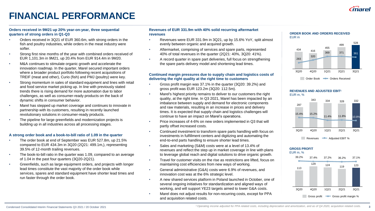

# **FINANCIAL PERFORMANCE**

#### **Orders received in 9M21 up 20% year-on-year, three sequential quarters of strong orders in Q1-Q3**

- Orders received in 3Q21 of EUR 360.6m, with strong orders in the fish and poultry industries, while orders in the meat industry were softer.
- Strong first nine months of the year with combined orders received of EUR 1,101.3m in 9M21, up 20.4% from EUR 914.4m in 9M20.
- M&A continues to stimulate organic growth and accelerate the innovation roadmap. In the quarter, Marel secured important orders where a broader product portfolio following recent acquisitions of TREIF (meat and other), Curio (fish) and PMJ (poultry) were key.
- Strong momentum in sales of standard equipment and lines with retail and food service market picking up. In line with previously stated trends there is rising demand for more automation due to labor challenges, as well as consumer-ready products on the back of dynamic shifts in consumer behavior.
- Marel has stepped up market coverage and continues to innovate in partnership with its customers, resulting in recently launched revolutionary solutions in consumer-ready products.
- The pipeline for large greenfields and modernization projects is building up in all industries across all processing stages.

### **A strong order book and a book-to-bill ratio of 1.09 in the quarter**

- The order book at end of September was EUR 527.8m, up 21.5% compared to EUR 434.3m in 3Q20 (2Q21: 499.1m,), representing 39.5% of 12-month trailing revenues.
- The book-to-bill ratio in the quarter was 1.09, compared to an average of 1.04 in the past four quarters (3Q20-2Q21).
- Greenfields, such as large equipment orders, and projects with longer lead times constitute the vast majority of the order book while services, spares and standard equipment have shorter lead times and run faster through the order book.

#### **Revenues of EUR 331.9m with 40% solid recurring aftermarket revenues**

- Revenues were EUR 331.9m in 3Q21, up by 15.6% YoY, split almost evenly between organic and acquired growth.
- Aftermarket, comprising of services and spare parts, represented 40% of total revenues in the quarter (2Q21: 40%, 3Q20: 41%).
- A record quarter in spare part deliveries, full focus on strengthening the spare parts delivery model and shortening lead times.

#### **Continued margin pressures due to supply chain and logistics costs of delivering the right quality at the right time to customers**

- Gross profit margin was 37.1% in the quarter (3Q20: 39.2%) and gross profit was EUR 123.2m (3Q20: 112.5m).
- Marel's highest priority remains to deliver to our customers the right quality, at the right time. In Q3 2021, Marel has been impacted by an imbalance between supply and demand for electronic components and raw materials, resulting in an increase in prices and delivery times. It is expected that supply chain and logistics challenges will continue to have an impact on Marel's operations.
- Price increases of 4-6% on new orders implemented in Q3 that will partly offset increased costs.
- Continued investment to transform spare parts handling with focus on investments in fulfillment centers and digitizing and automating the end-to-end parts handling to ensure shorter lead times.
- Sales and marketing (S&M) costs were at a level of 13.4% of revenues and reflect the step up in market coverage in line with plans to leverage global reach and digital solutions to drive organic growth.
- Travel for customer visits on the rise as restrictions are lifted, focus on maintaining cost efficiencies from new ways of working.
- General administrative (G&A) costs were 6.9% of revenues, and innovation cost was at the 6% strategic level.
- A new shared services platform in Poland launched in October, one of several ongoing initiatives for standardization and aligned ways of working, and will support YE23 targets aimed to lower G&A costs.
- Marel does not adjust results for non-recurring costs, except for PPA and acquisition related costs.



### **REVENUES AND ADJUSTED EBIT<sup>1</sup>**





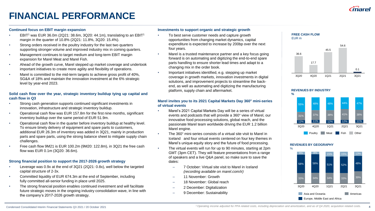# **FINANCIAL PERFORMANCE**

#### **Continued focus on EBIT margin expansion**

- $EBIT<sup>1</sup>$  was EUR 36.0m (2Q21: 38.6m, 3Q20: 44.1m), translating to an EBIT<sup>1</sup> margin in the quarter of 10.8% (2Q21: 11.8%, 3Q20: 15.4%).
- Strong orders received in the poultry industry for the last two quarters supporting stronger volume and improved industry mix in coming quarters.
- Management continues to target medium and long-term EBIT margin expansion for Marel Meat and Marel Fish.
- Ahead of the growth curve, Marel stepped up market coverage and undertook important initiatives to create more agility and flexibility of operations.
- Marel is committed to the mid-term targets to achieve gross profit of 40%, SG&A of 18% and maintain the innovation investment at the 6% strategic level by year-end 2023.

#### **Solid cash flow over the year, strategic inventory buildup tying up capital and cash flow in Q3**

- Strong cash generation supports continued significant investments in innovation, infrastructure and strategic inventory buildup.
- Operational cash flow was EUR 157.8m for the first nine months, significant inventory buildup over the same period of EUR 51.9m.
- Operational cash flow in the quarter before inventory buildup at healthy level. To ensure timely delivery of equipment and spare parts to customers, additional EUR 26.3m of inventory was added in 3Q21, mainly in production parts and spare parts, using the strong balance sheet to mitigate supply chain challenges.
- Free cash flow 9M21 is EUR 100.2m (9M20: 122.8m), in 3Q21 the free cash flow was EUR 0.1m (3Q20: 36.6m).

### **Strong financial position to support the 2017-2026 growth strategy**

- Leverage was 0.9x at the end of 3Q21 (2Q21: 0.8x), well below the targeted capital structure of 2-3x.
- Committed liquidity of EUR 674.3m at the end of September, including fully committed all-senior funding in place until 2025.
- The strong financial position enables continued investment and will facilitate future strategic moves in the ongoing industry consolidation wave, in line with the company's 2017-2026 growth strategy.

#### **Investments to support organic and strategic growth**

- To best serve customer needs and capture growth opportunities from changing market dynamics, capital expenditure is expected to increase by 200bp over the next four years.
- Marel is a trusted maintenance partner and a key focus going forward is on automating and digitizing the end-to-end spare parts handling to ensure shorter lead times and adapt to a changing mix in the order book.
- Important initiatives identified, e.g. stepping up market coverage in growth markets, innovation investments in digital solutions, and improvement projects to streamline the backend, as well as automating and digitizing the manufacturing platform, supply chain and aftermarket.

#### **Marel invites you to its 2021 Capital Markets Day 360° mini-series of virtual events**

- Marel's 2021 Capital Markets Day will be a series of virtual events and podcasts that will provide a 360° view of Marel, our innovative food processing solutions, global reach, and the passionate Marel team worldwide driving the EUR 1.2 billion Marel engine.
- The 360° mini-series consists of a virtual site visit to Marel in Iceland and four virtual events centered on four key themes in Marel's unique equity story and the future of food processing.
- The virtual events will run for up to 90 minutes, starting at 2pm GMT (3pm CET). They will feature presentations from a range of speakers and a live Q&A panel, so make sure to save the dates:
	- 7 October: Virtual site visit to Marel in Iceland *(recording available on marel.com/ir)*
	- 11 November: Growth
	- 18 November: Global reach
	- 2 December: Digitalization
	- 9 December: Sustainability







#### **REVENUES BY GEOGRAPHY**

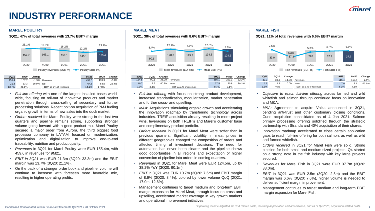## **INDUSTRY PERFORMANCE**

### **MAREL POULTRY MAREL MEAT MAREL FISH**



- *Full-line offering* with one of the largest installed bases worldwide, focusing on roll-out of innovative products and market penetration through cross-selling of secondary and further processing solutions. Recent bolt-on acquisition of PMJ fueling organic growth in terms of new sales into the duck market.
- *Orders received* for Marel Poultry were strong in the last two quarters and pipeline remains strong, supporting stronger volume going forward with a good product mix. Marel Poultry secured a major order from Aurora, the third biggest food processor company in LATAM, focused on modernization, optimization and digitalization to improve end-to-end traceability, nutrition and product quality.
- *Revenues* in 3Q21 for Marel Poultry were EUR 155.4m, with 459.6 in revenues for 9M21.
- *EBIT in 3Q21* was EUR 21.3m (3Q20: 33.3m) and the EBIT margin was 13.7% (3Q20: 21.1%).
- On the back of a stronger order book and pipeline, volume will continue to increase with foreseen more favorable mix, resulting in higher operating profits.

**3Q21: 47% of total revenues with 13.7% EBIT<sup>1</sup> margin 3Q21: 38% of total revenues with 8.6% EBIT<sup>1</sup> margin 3Q21: 11% of total revenues with 6.6% EBIT<sup>1</sup> margin**



| 3Q21  | 3Q20 | Change |                         | 9M21  | 9M20  | Change |
|-------|------|--------|-------------------------|-------|-------|--------|
| 124.5 | 90.1 | 38.2%  | Revenues                | 385.1 | 291.1 | 32.3%  |
| 10.7  | 7.6  | 40.8%  | <b>EBIT'</b>            | 37.5  | 20.8  | 80.3%  |
| 8.6%  | 8.4% |        | EBIT as a % of revenues | 9.7%  | 7.1%  |        |

- *Full-line offering* with focus on strong product development, increased standardization, modularization, market penetration and further cross- and upselling.
- *M&A*: Acquisitions stimulating organic growth and accelerating the innovation roadmap by transferring technology across industries. TREIF acquisition already resulting in more project wins, leveraging on both TREIF's and Marel's customer base and complimentary product portfolio.
- *Orders received* in 3Q21 for Marel Meat were softer than in previous quarters. Significant volatility in meat prices in different geographies changed the composition of orders and affected timing of investment decisions. The need for automation has never been clearer and the pipeline shows good opportunities in all regions and expectation of higher conversion of pipeline into orders in coming quarters.
- *Revenues* in 3Q21 for Marel Meat were EUR 124.5m, up by 38.2% YoY (3Q20: 90.1m).
- *EBIT* in 3Q21 was EUR 10.7m (3Q20: 7.6m) and EBIT margin of 8.6% (3Q20: 8.4%), colored by lower volume QoQ (2Q21: 17.0m, 12.6%).
- Management continues to target medium and long-term EBIT margin expansion for Marel Meat, through focus on cross-and upselling, accelerated market coverage in key growth markets and operational improvement initiatives.



| 3021 | 3Q20 | Change |                          | 9M21  | 9M20  | Change   |
|------|------|--------|--------------------------|-------|-------|----------|
| 37.7 | 33.0 | 14.2%  | Revenues                 | 115.4 | 113.4 | 1.8%     |
| 2.5  | 2.5  | 0.0%   | <b>FBIT'</b>             | 7.0   | 8.1   | $-13.6%$ |
| 6.6% | 7.6% |        | EBIT' as a % of revenues | 6.1%  | 7.1%  |          |

- *Objective to reach full-line offering* across farmed and wild whitefish and salmon through continued focus on innovation and M&A.
- *M&A:* Agreement to acquire Valka announced in 3Q21, pending anti-trust and other customary closing conditions. Curio acquisition consolidated as of 4 Jan 2021. Salmon primary processing offering solidified through the strategic partnership with Stranda and 40% acquisition of their shares.
- Innovation roadmap accelerated to close certain application gaps to reach full-line offering for both salmon, as well as wild and farmed whitefish.
- *Orders received* in 3Q21 for Marel Fish were solid. Strong pipeline for both small and medium-sized projects. Q4 started on a strong note in the fish industry with key large projects secured.
- *Revenues* for Marel Fish in 3Q21 were EUR 37.7m (3Q20: 33.0m).
- *EBIT* in 3Q21 was EUR 2.5m (3Q20: 2.5m) and the EBIT margin was 6.6% (3Q20: 7.6%), higher volume is needed to deliver sufficient margin improvement.
- Management continues to target medium and long-term EBIT margin expansion for Marel Fish.

**5** Condensed Consolidated Interim Financial Statements Q3 2021 / 20 October 2021 20 20 Comber 2021 20 20 Comber 2021 20 Developme adjusted for PPA related costs, including depreciation and amortization, and as of Q4 2020, acq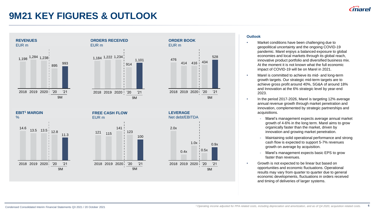### **9M21 KEY FIGURES & OUTLOOK**



#### **Outlook**

- Market conditions have been challenging due to geopolitical uncertainty and the ongoing COVID-19 pandemic. Marel enjoys a balanced exposure to global economies and local markets through its global reach, innovative product portfolio and diversified business mix. At the moment it is not known what the full economic impact of COVID-19 will be on Marel in 2021.
- Marel is committed to achieve its mid- and long-term growth targets. Our strategic mid-term targets are to achieve gross profit around 40%, SG&A of around 18% and Innovation at the 6% strategic level by year-end 2023.
- In the period 2017-2026, Marel is targeting 12% average annual revenue growth through market penetration and innovation, complemented by strategic partnerships and acquisitions.
	- Marel's management expects average annual market growth of 4-6% in the long term. Marel aims to grow organically faster than the market, driven by innovation and growing market penetration.
	- Maintaining solid operational performance and strong cash flow is expected to support 5-7% revenues growth on average by acquisition.
	- Marel's management expects basic EPS to grow faster than revenues.
- Growth is not expected to be linear but based on opportunities and economic fluctuations. Operational results may vary from quarter to quarter due to general economic developments, fluctuations in orders received and timing of deliveries of larger systems.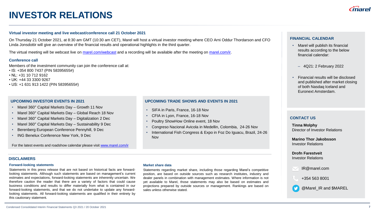## **INVESTOR RELATIONS**

#### **Virtual investor meeting and live webcast/conference call 21 October 2021**

On Thursday 21 October 2021, at 8:30 am GMT (10:30 am CET), Marel will host a virtual investor meeting where CEO Arni Oddur Thordarson and CFO Linda Jonsdottir will give an overview of the financial results and operational highlights in the third quarter.

The virtual meeting will be webcast live on [marel.com/webcast](http://www.marel.com/webcast) and a recording will be available after the meeting on [marel.com/ir.](https://marel.com/ir)

### **Conference call**

Members of the investment community can join the conference call at:

- IS: +354 800 7437 (PIN 58395655#)
- NL: +31 10 712 9162
- UK: +44 33 3300 9267
- US: +1 631 913 1422 (PIN 58395655#)

#### **UPCOMING INVESTOR EVENTS IN 2021**

- Marel 360° Capital Markets Day Growth 11 Nov
- Marel 360° Capital Markets Day Global Reach 18 Nov
- Marel 360° Capital Markets Day Digitalization 2 Dec
- Marel 360° Capital Markets Day Sustainability 9 Dec
- Berenberg European Conference Pennyhill, 9 Dec
- ING Benelux Conference New York, 9 Dec

For the latest events and roadshow calendar please visit [www.marel.com/ir](http://www.marel.com/ir)

#### **UPCOMING TRADE SHOWS AND EVENTS IN 2021**

- SIFA in Paris, France, 16-18 Nov
- CFIA in Lyon, France, 16-18 Nov
- Poultry ShowHow Online event, 18 Nov
- Congreso Nacional Avicola in Medellin, Colombia, 24-26 Nov
- International Fish Congress & Expo in Foz Do Iguacu, Brazil, 24-26 Nov

#### **FINANCIAL CALENDAR**

- Marel will publish its financial results according to the below financial calendar:
	- 4Q21: 2 February 2022
- Financial results will be disclosed and published after market closing of both Nasdaq Iceland and Euronext Amsterdam.

### **CONTACT US**

**Tinna Molphy** Director of Investor Relations

**Marino Thor Jakobsson** Investor Relations

#### **Drofn Farestveit** Investor Relations

IR@marel.com

+354 563 8001

@Marel\_IR and \$MAREL

### **DISCLAIMERS**

#### **Forward-looking statements**

Statements in this press release that are not based on historical facts are forwardlooking statements. Although such statements are based on management's current estimates and expectations, forward-looking statements are inherently uncertain. We therefore caution the reader that there are a variety of factors that could cause business conditions and results to differ materially from what is contained in our forward-looking statements, and that we do not undertake to update any forwardlooking statements. All forward-looking statements are qualified in their entirety by this cautionary statement.

#### **Market share data**

Statements regarding market share, including those regarding Marel's competitive position, are based on outside sources such as research institutes, industry and dealer panels in combination with management estimates. Where information is not yet available to Marel, those statements may also be based on estimates and projections prepared by outside sources or management. Rankings are based on sales unless otherwise stated.